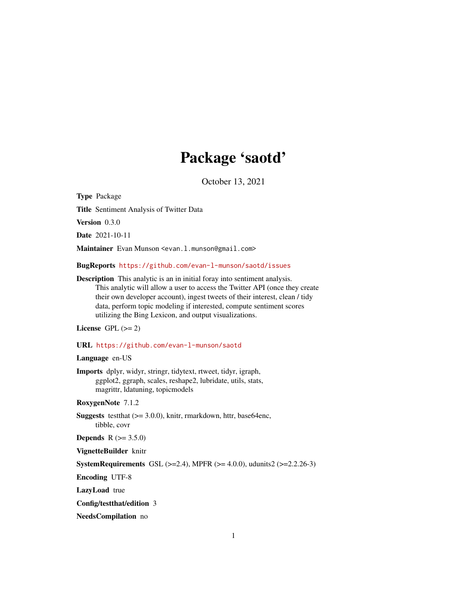# Package 'saotd'

October 13, 2021

Type Package

Title Sentiment Analysis of Twitter Data

Version 0.3.0

Date 2021-10-11

Maintainer Evan Munson <evan.1.munson@gmail.com>

BugReports <https://github.com/evan-l-munson/saotd/issues>

Description This analytic is an in initial foray into sentiment analysis. This analytic will allow a user to access the Twitter API (once they create their own developer account), ingest tweets of their interest, clean / tidy data, perform topic modeling if interested, compute sentiment scores utilizing the Bing Lexicon, and output visualizations.

License GPL  $(>= 2)$ 

URL <https://github.com/evan-l-munson/saotd>

#### Language en-US

Imports dplyr, widyr, stringr, tidytext, rtweet, tidyr, igraph, ggplot2, ggraph, scales, reshape2, lubridate, utils, stats, magrittr, ldatuning, topicmodels

RoxygenNote 7.1.2

Suggests testthat (>= 3.0.0), knitr, rmarkdown, httr, base64enc, tibble, covr

**Depends** R  $(>= 3.5.0)$ 

VignetteBuilder knitr

**SystemRequirements** GSL  $(>=2.4)$ , MPFR  $(>= 4.0.0)$ , udunits2  $(>=2.2.26-3)$ 

Encoding UTF-8

LazyLoad true

Config/testthat/edition 3

NeedsCompilation no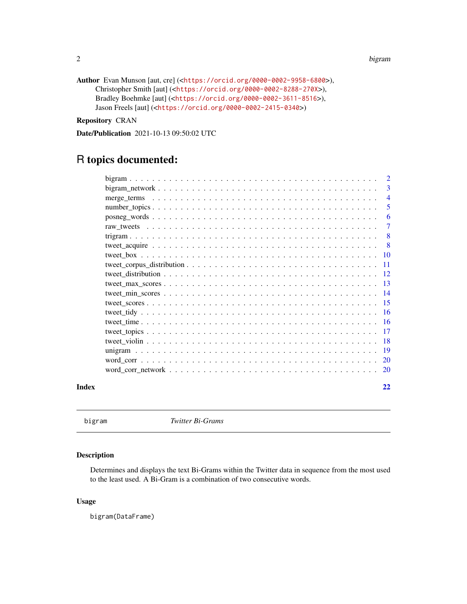2 bigram bigram and the control of the control of the control of the control of the control of the control of the control of the control of the control of the control of the control of the control of the control of the con

```
Author Evan Munson [aut, cre] (<https://orcid.org/0000-0002-9958-6800>),
     Christopher Smith [aut] (<https://orcid.org/0000-0002-8288-270X>),
     Bradley Boehmke [aut] (<https://orcid.org/0000-0002-3611-8516>),
     Jason Freels [aut] (<https://orcid.org/0000-0002-2415-0340>)
```
Repository CRAN

Date/Publication 2021-10-13 09:50:02 UTC

# R topics documented:

|       | 2              |        |
|-------|----------------|--------|
|       | 3              |        |
|       | $\overline{4}$ |        |
|       |                | 5      |
|       |                | 6      |
|       |                | $\tau$ |
|       | -8             |        |
|       | -8             |        |
|       |                |        |
|       | -11            |        |
|       |                |        |
|       |                |        |
|       |                |        |
|       |                |        |
|       |                |        |
|       |                |        |
|       |                |        |
|       |                |        |
|       |                |        |
|       |                |        |
|       |                |        |
| Index | 22             |        |

bigram *Twitter Bi-Grams*

# Description

Determines and displays the text Bi-Grams within the Twitter data in sequence from the most used to the least used. A Bi-Gram is a combination of two consecutive words.

#### Usage

bigram(DataFrame)

<span id="page-1-0"></span>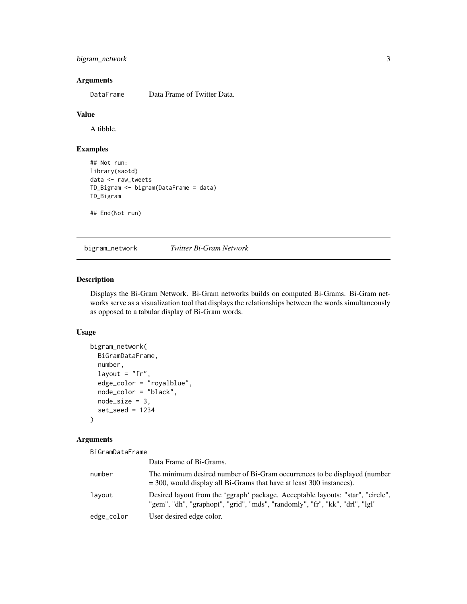# <span id="page-2-0"></span>bigram\_network 3

# Arguments

DataFrame Data Frame of Twitter Data.

#### Value

A tibble.

# Examples

```
## Not run:
library(saotd)
data <- raw_tweets
TD_Bigram <- bigram(DataFrame = data)
TD_Bigram
```
## End(Not run)

bigram\_network *Twitter Bi-Gram Network*

# Description

Displays the Bi-Gram Network. Bi-Gram networks builds on computed Bi-Grams. Bi-Gram networks serve as a visualization tool that displays the relationships between the words simultaneously as opposed to a tabular display of Bi-Gram words.

#### Usage

```
bigram_network(
 BiGramDataFrame,
  number,
  layout = "fr",
  edge_color = "royalblue",
  node_color = "black",
 node_size = 3,
  set_seed = 1234
)
```

| BiGramDataFrame |                                                                                                                                                                 |
|-----------------|-----------------------------------------------------------------------------------------------------------------------------------------------------------------|
|                 | Data Frame of Bi-Grams.                                                                                                                                         |
| number          | The minimum desired number of Bi-Gram occurrences to be displayed (number<br>$=$ 300, would display all Bi-Grams that have at least 300 instances).             |
| layout          | Desired layout from the 'ggraph' package. Acceptable layouts: "star", "circle",<br>"gem", "dh", "graphopt", "grid", "mds", "randomly", "fr", "kk", "drl", "lgl" |
| edge_color      | User desired edge color.                                                                                                                                        |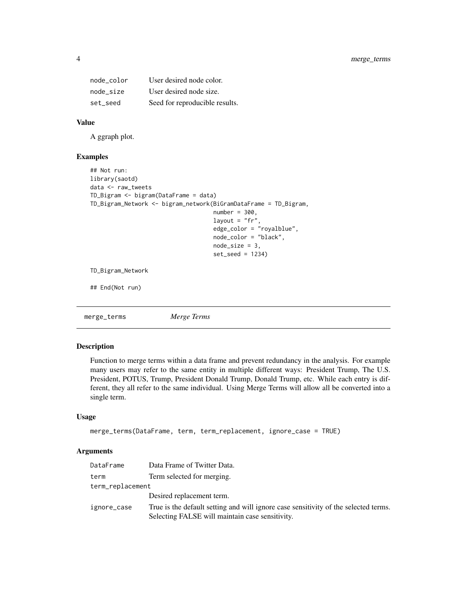<span id="page-3-0"></span>

| node color | User desired node color.       |
|------------|--------------------------------|
| node size  | User desired node size.        |
| set seed   | Seed for reproducible results. |

# Value

A ggraph plot.

#### Examples

```
## Not run:
library(saotd)
data <- raw_tweets
TD_Bigram <- bigram(DataFrame = data)
TD_Bigram_Network <- bigram_network(BiGramDataFrame = TD_Bigram,
                                    number = 300,
                                    layout = "fr"edge_color = "royalblue",
                                    node_color = "black",
                                    node_size = 3,
                                    set_seed = 1234)
TD_Bigram_Network
## End(Not run)
```
merge\_terms *Merge Terms*

# Description

Function to merge terms within a data frame and prevent redundancy in the analysis. For example many users may refer to the same entity in multiple different ways: President Trump, The U.S. President, POTUS, Trump, President Donald Trump, Donald Trump, etc. While each entry is different, they all refer to the same individual. Using Merge Terms will allow all be converted into a single term.

#### Usage

```
merge_terms(DataFrame, term, term_replacement, ignore_case = TRUE)
```

| DataFrame        | Data Frame of Twitter Data.                                                                                                            |  |
|------------------|----------------------------------------------------------------------------------------------------------------------------------------|--|
| term             | Term selected for merging.                                                                                                             |  |
| term_replacement |                                                                                                                                        |  |
|                  | Desired replacement term.                                                                                                              |  |
| ignore_case      | True is the default setting and will ignore case sensitivity of the selected terms.<br>Selecting FALSE will maintain case sensitivity. |  |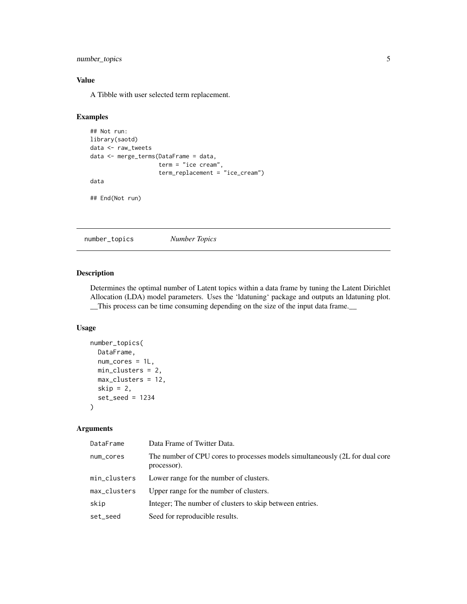<span id="page-4-0"></span>number\_topics 5

# Value

A Tibble with user selected term replacement.

# Examples

```
## Not run:
library(saotd)
data <- raw_tweets
data <- merge_terms(DataFrame = data,
                     term = "ice cream",
                     term_replacement = "ice_cream")
data
## End(Not run)
```
number\_topics *Number Topics*

# Description

Determines the optimal number of Latent topics within a data frame by tuning the Latent Dirichlet Allocation (LDA) model parameters. Uses the 'ldatuning' package and outputs an ldatuning plot. \_\_This process can be time consuming depending on the size of the input data frame.\_\_

# Usage

```
number_topics(
 DataFrame,
 num_cores = 1L,
 min_clusters = 2,
 max_clusters = 12,
  skip = 2,set_seed = 1234
)
```

| DataFrame    | Data Frame of Twitter Data.                                                                 |
|--------------|---------------------------------------------------------------------------------------------|
| num_cores    | The number of CPU cores to processes models simultaneously (2L for dual core<br>processor). |
| min_clusters | Lower range for the number of clusters.                                                     |
| max_clusters | Upper range for the number of clusters.                                                     |
| skip         | Integer; The number of clusters to skip between entries.                                    |
| set_seed     | Seed for reproducible results.                                                              |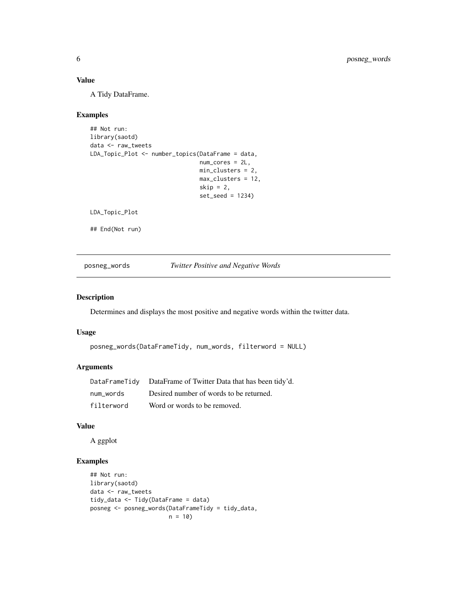# <span id="page-5-0"></span>Value

A Tidy DataFrame.

# Examples

```
## Not run:
library(saotd)
data <- raw_tweets
LDA_Topic_Plot <- number_topics(DataFrame = data,
                                num_cores = 2L,
                                min_clusters = 2,
                                max_clusters = 12,
                                skip = 2,set_seed = 1234)
```
LDA\_Topic\_Plot

## End(Not run)

posneg\_words *Twitter Positive and Negative Words*

#### Description

Determines and displays the most positive and negative words within the twitter data.

#### Usage

```
posneg_words(DataFrameTidy, num_words, filterword = NULL)
```
# Arguments

| DataFrameTidy | DataFrame of Twitter Data that has been tidy'd. |
|---------------|-------------------------------------------------|
| num words     | Desired number of words to be returned.         |
| filterword    | Word or words to be removed.                    |

#### Value

A ggplot

# Examples

```
## Not run:
library(saotd)
data <- raw_tweets
tidy_data <- Tidy(DataFrame = data)
posneg <- posneg_words(DataFrameTidy = tidy_data,
                      n = 10)
```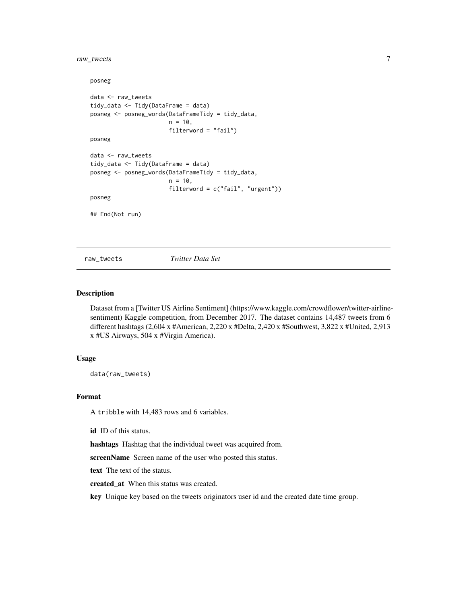# <span id="page-6-0"></span>raw\_tweets 7

```
posneg
data <- raw_tweets
tidy_data <- Tidy(DataFrame = data)
posneg <- posneg_words(DataFrameTidy = tidy_data,
                       n = 10,
                       filterword = "fail")
posneg
data <- raw_tweets
tidy_data <- Tidy(DataFrame = data)
posneg <- posneg_words(DataFrameTidy = tidy_data,
                       n = 10,
                       filterword = c("fail", "urgent"))
posneg
## End(Not run)
```
raw\_tweets *Twitter Data Set*

# Description

Dataset from a [Twitter US Airline Sentiment] (https://www.kaggle.com/crowdflower/twitter-airlinesentiment) Kaggle competition, from December 2017. The dataset contains 14,487 tweets from 6 different hashtags (2,604 x #American, 2,220 x #Delta, 2,420 x #Southwest, 3,822 x #United, 2,913 x #US Airways, 504 x #Virgin America).

#### Usage

data(raw\_tweets)

#### Format

A tribble with 14,483 rows and 6 variables.

id ID of this status.

hashtags Hashtag that the individual tweet was acquired from.

screenName Screen name of the user who posted this status.

text The text of the status.

created\_at When this status was created.

key Unique key based on the tweets originators user id and the created date time group.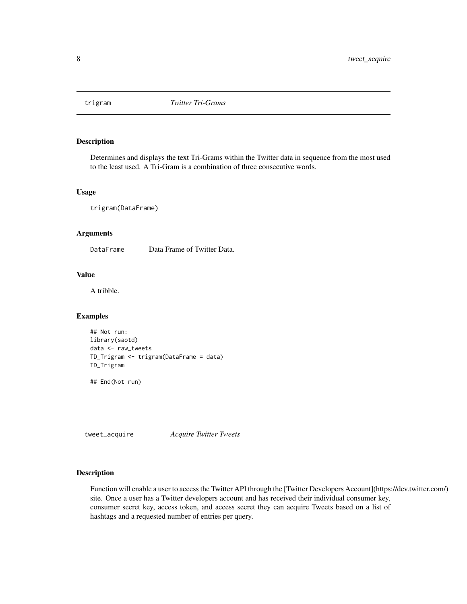<span id="page-7-0"></span>

# Description

Determines and displays the text Tri-Grams within the Twitter data in sequence from the most used to the least used. A Tri-Gram is a combination of three consecutive words.

#### Usage

trigram(DataFrame)

### Arguments

DataFrame Data Frame of Twitter Data.

# Value

A tribble.

#### Examples

```
## Not run:
library(saotd)
data <- raw_tweets
TD_Trigram <- trigram(DataFrame = data)
TD_Trigram
```
## End(Not run)

tweet\_acquire *Acquire Twitter Tweets*

#### Description

Function will enable a user to access the Twitter API through the [Twitter Developers Account](https://dev.twitter.com/) site. Once a user has a Twitter developers account and has received their individual consumer key, consumer secret key, access token, and access secret they can acquire Tweets based on a list of hashtags and a requested number of entries per query.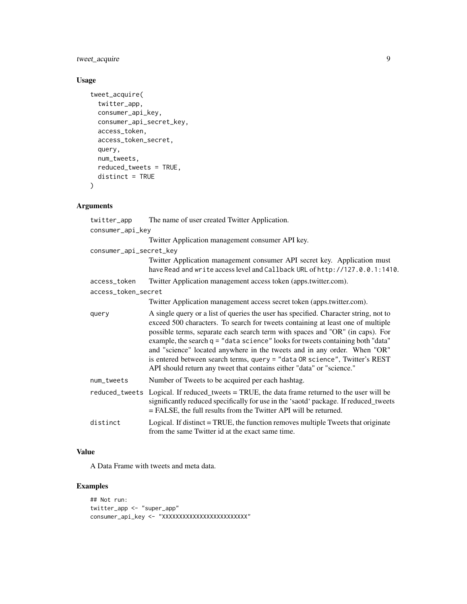# tweet\_acquire 9

# Usage

```
tweet_acquire(
 twitter_app,
 consumer_api_key,
 consumer_api_secret_key,
 access_token,
 access_token_secret,
 query,
 num_tweets,
 reduced_tweets = TRUE,
 distinct = TRUE
)
```
# Arguments

| twitter_app             | The name of user created Twitter Application.                                                                                                                                                                                                                                                                                                                                                                                                                                                                                                                                 |  |
|-------------------------|-------------------------------------------------------------------------------------------------------------------------------------------------------------------------------------------------------------------------------------------------------------------------------------------------------------------------------------------------------------------------------------------------------------------------------------------------------------------------------------------------------------------------------------------------------------------------------|--|
| consumer_api_key        |                                                                                                                                                                                                                                                                                                                                                                                                                                                                                                                                                                               |  |
|                         | Twitter Application management consumer API key.                                                                                                                                                                                                                                                                                                                                                                                                                                                                                                                              |  |
| consumer_api_secret_key |                                                                                                                                                                                                                                                                                                                                                                                                                                                                                                                                                                               |  |
|                         | Twitter Application management consumer API secret key. Application must<br>have Read and write access level and Callback URL of http://127.0.0.1:1410.                                                                                                                                                                                                                                                                                                                                                                                                                       |  |
| access_token            | Twitter Application management access token (apps.twitter.com).                                                                                                                                                                                                                                                                                                                                                                                                                                                                                                               |  |
| access_token_secret     |                                                                                                                                                                                                                                                                                                                                                                                                                                                                                                                                                                               |  |
|                         | Twitter Application management access secret token (apps.twitter.com).                                                                                                                                                                                                                                                                                                                                                                                                                                                                                                        |  |
| query                   | A single query or a list of queries the user has specified. Character string, not to<br>exceed 500 characters. To search for tweets containing at least one of multiple<br>possible terms, separate each search term with spaces and "OR" (in caps). For<br>example, the search q = "data science" looks for tweets containing both "data"<br>and "science" located anywhere in the tweets and in any order. When "OR"<br>is entered between search terms, query = "data OR science", Twitter's REST<br>API should return any tweet that contains either "data" or "science." |  |
| num_tweets              | Number of Tweets to be acquired per each hashtag.                                                                                                                                                                                                                                                                                                                                                                                                                                                                                                                             |  |
|                         | reduced_tweets Logical. If reduced_tweets = TRUE, the data frame returned to the user will be<br>significantly reduced specifically for use in the 'saotd' package. If reduced_tweets<br>= FALSE, the full results from the Twitter API will be returned.                                                                                                                                                                                                                                                                                                                     |  |
| distinct                | Logical. If distinct = TRUE, the function removes multiple Tweets that originate<br>from the same Twitter id at the exact same time.                                                                                                                                                                                                                                                                                                                                                                                                                                          |  |

# Value

A Data Frame with tweets and meta data.

# Examples

```
## Not run:
twitter_app <- "super_app"
consumer_api_key <- "XXXXXXXXXXXXXXXXXXXXXXXXX"
```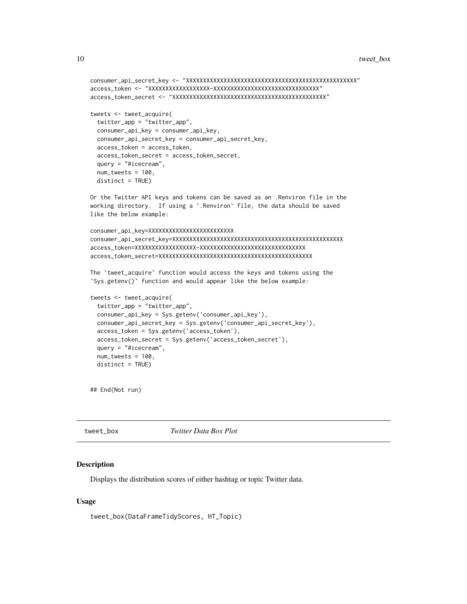```
consumer_api_secret_key <- "XXXXXXXXXXXXXXXXXXXXXXXXXXXXXXXXXXXXXXXXXXXXXXXXXX"
access_token <- "XXXXXXXXXXXXXXXXXX-XXXXXXXXXXXXXXXXXXXXXXXXXXXXXXX"
access_token_secret <- "XXXXXXXXXXXXXXXXXXXXXXXXXXXXXXXXXXXXXXXXXXXXX"
tweets <- tweet_acquire(
 twitter_app = "twitter_app",
 consumer_api_key = consumer_api_key,
 consumer_api_secret_key = consumer_api_secret_key,
 access_token = access_token,
 access_token_secret = access_token_secret,
 query = "#icecream",
 num_tweets = 100,
 distinct = TRUE)
Or the Twitter API keys and tokens can be saved as an .Renviron file in the
working directory. If using a `.Renviron` file, the data should be saved
like the below example:
consumer_api_key=XXXXXXXXXXXXXXXXXXXXXXXXX
consumer_api_secret_key=XXXXXXXXXXXXXXXXXXXXXXXXXXXXXXXXXXXXXXXXXXXXXXXXXX
access_token=XXXXXXXXXXXXXXXXXX-XXXXXXXXXXXXXXXXXXXXXXXXXXXXXXX
access_token_secret=XXXXXXXXXXXXXXXXXXXXXXXXXXXXXXXXXXXXXXXXXXXXX
The `tweet_acquire` function would access the keys and tokens using the
`Sys.getenv()` function and would appear like the below example:
tweets <- tweet_acquire(
 twitter_app = "twitter_app",
 consumer_api_key = Sys.getenv('consumer_api_key'),
 consumer_api_secret_key = Sys.getenv('consumer_api_secret_key'),
 access_token = Sys.getenv('access_token'),
 access_token_secret = Sys.getenv('access_token_secret'),
 query = "#icecream",
 num_tweets = 100,
 distinct = TRUE)
## End(Not run)
```
tweet\_box *Twitter Data Box Plot*

#### Description

Displays the distribution scores of either hashtag or topic Twitter data.

```
tweet_box(DataFrameTidyScores, HT_Topic)
```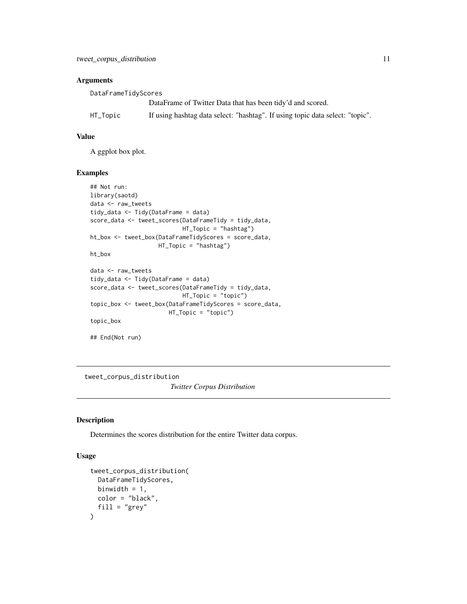# <span id="page-10-0"></span>Arguments

| DataFrameTidyScores |                                                                               |
|---------------------|-------------------------------------------------------------------------------|
|                     | DataFrame of Twitter Data that has been tidy'd and scored.                    |
| HT_Topic            | If using hashtag data select: "hashtag". If using topic data select: "topic". |

#### Value

A ggplot box plot.

#### Examples

```
## Not run:
library(saotd)
data <- raw_tweets
tidy_data <- Tidy(DataFrame = data)
score_data <- tweet_scores(DataFrameTidy = tidy_data,
                           HT_Topic = "hashtag")
ht_box <- tweet_box(DataFrameTidyScores = score_data,
                    HT_Topic = "hashtag")
ht_box
data <- raw_tweets
tidy_data <- Tidy(DataFrame = data)
score_data <- tweet_scores(DataFrameTidy = tidy_data,
                           HT_Topic = "topic")
topic_box <- tweet_box(DataFrameTidyScores = score_data,
                      HT_Topic = "topic")
topic_box
## End(Not run)
```
tweet\_corpus\_distribution *Twitter Corpus Distribution*

# Description

Determines the scores distribution for the entire Twitter data corpus.

```
tweet_corpus_distribution(
 DataFrameTidyScores,
 binwidth = 1,
 color = "black",
 fill = "grey")
```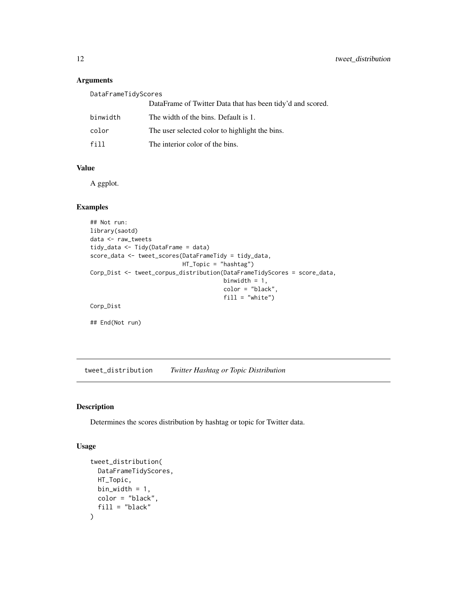#### Arguments

| DataFrameTidyScores |                                                            |
|---------------------|------------------------------------------------------------|
|                     | DataFrame of Twitter Data that has been tidy'd and scored. |
| binwidth            | The width of the bins. Default is 1.                       |
| color               | The user selected color to highlight the bins.             |
| f11                 | The interior color of the bins.                            |

# Value

A ggplot.

# Examples

```
## Not run:
library(saotd)
data <- raw_tweets
tidy_data <- Tidy(DataFrame = data)
score_data <- tweet_scores(DataFrameTidy = tidy_data,
                          HT_Topic = "hashtag")
Corp_Dist <- tweet_corpus_distribution(DataFrameTidyScores = score_data,
                                       binwidth = 1,
                                       color = "black",
                                       fill = "white")Corp_Dist
```
tweet\_distribution *Twitter Hashtag or Topic Distribution*

# Description

## End(Not run)

Determines the scores distribution by hashtag or topic for Twitter data.

```
tweet_distribution(
 DataFrameTidyScores,
 HT_Topic,
 bin_width = 1,
 color = "black",
  fill = "black"
)
```
<span id="page-11-0"></span>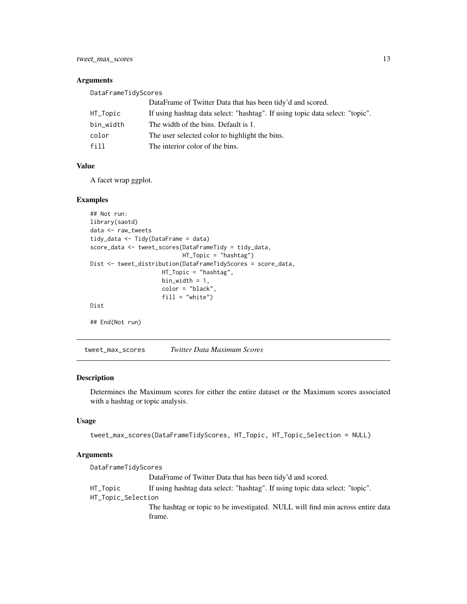<span id="page-12-0"></span>tweet\_max\_scores 13

#### Arguments

| DataFrameTidyScores |                                                                               |  |
|---------------------|-------------------------------------------------------------------------------|--|
|                     | DataFrame of Twitter Data that has been tidy'd and scored.                    |  |
| HT_Topic            | If using hashtag data select: "hashtag". If using topic data select: "topic". |  |
| bin width           | The width of the bins. Default is 1.                                          |  |
| color               | The user selected color to highlight the bins.                                |  |
| f11                 | The interior color of the bins.                                               |  |

# Value

A facet wrap ggplot.

# Examples

```
## Not run:
library(saotd)
data <- raw_tweets
tidy_data <- Tidy(DataFrame = data)
score_data <- tweet_scores(DataFrameTidy = tidy_data,
                           HT_Topic = "hashtag")
Dist <- tweet_distribution(DataFrameTidyScores = score_data,
                     HT_Topic = "hashtag",
                     bin\_width = 1,color = "black",
                     fill = "white")
Dist
## End(Not run)
```
tweet\_max\_scores *Twitter Data Maximum Scores*

# Description

Determines the Maximum scores for either the entire dataset or the Maximum scores associated with a hashtag or topic analysis.

#### Usage

```
tweet_max_scores(DataFrameTidyScores, HT_Topic, HT_Topic_Selection = NULL)
```

| DataFrameTidyScores |                                                                                          |
|---------------------|------------------------------------------------------------------------------------------|
|                     | DataFrame of Twitter Data that has been tidy'd and scored.                               |
| HT_Topic            | If using hashtag data select: "hashtag". If using topic data select: "topic".            |
| HT_Topic_Selection  |                                                                                          |
|                     | The hashtag or topic to be investigated. NULL will find min across entire data<br>frame. |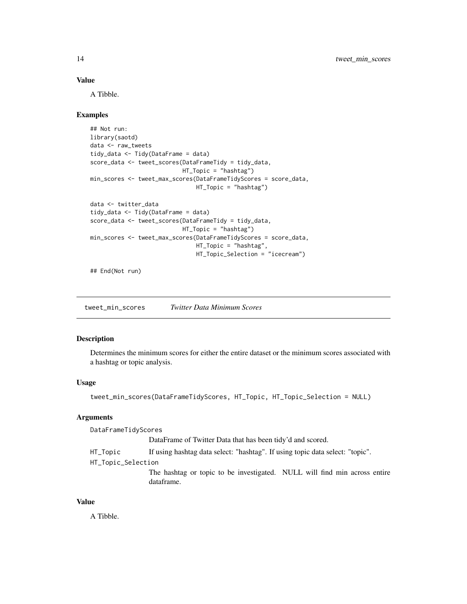#### <span id="page-13-0"></span>Value

A Tibble.

#### Examples

```
## Not run:
library(saotd)
data <- raw_tweets
tidy_data <- Tidy(DataFrame = data)
score_data <- tweet_scores(DataFrameTidy = tidy_data,
                           HT_Topic = "hashtag")
min_scores <- tweet_max_scores(DataFrameTidyScores = score_data,
                               HT_Topic = "hashtag")
data <- twitter_data
tidy_data <- Tidy(DataFrame = data)
score_data <- tweet_scores(DataFrameTidy = tidy_data,
                           HT_Topic = "hashtag")
min_scores <- tweet_max_scores(DataFrameTidyScores = score_data,
                               HT_Topic = "hashtag",
                               HT_Topic_Selection = "icecream")
```
## End(Not run)

tweet\_min\_scores *Twitter Data Minimum Scores*

#### Description

Determines the minimum scores for either the entire dataset or the minimum scores associated with a hashtag or topic analysis.

#### Usage

```
tweet_min_scores(DataFrameTidyScores, HT_Topic, HT_Topic_Selection = NULL)
```
#### Arguments

DataFrameTidyScores DataFrame of Twitter Data that has been tidy'd and scored. HT\_Topic If using hashtag data select: "hashtag". If using topic data select: "topic". HT\_Topic\_Selection

> The hashtag or topic to be investigated. NULL will find min across entire dataframe.

# Value

A Tibble.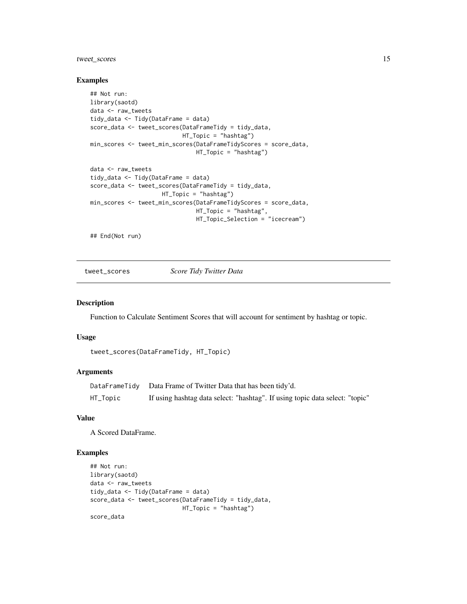# <span id="page-14-0"></span>tweet\_scores 15

#### Examples

```
## Not run:
library(saotd)
data <- raw_tweets
tidy_data <- Tidy(DataFrame = data)
score_data <- tweet_scores(DataFrameTidy = tidy_data,
                           HT_Topic = "hashtag")
min_scores <- tweet_min_scores(DataFrameTidyScores = score_data,
                               HT_Topic = "hashtag")
data <- raw_tweets
tidy_data <- Tidy(DataFrame = data)
score_data <- tweet_scores(DataFrameTidy = tidy_data,
                     HT_Topic = "hashtag")
min_scores <- tweet_min_scores(DataFrameTidyScores = score_data,
                               HT_Topic = "hashtag",
                               HT_Topic_Selection = "icecream")
```
## End(Not run)

tweet\_scores *Score Tidy Twitter Data*

#### Description

Function to Calculate Sentiment Scores that will account for sentiment by hashtag or topic.

#### Usage

```
tweet_scores(DataFrameTidy, HT_Topic)
```
### **Arguments**

|          | DataFrameTidy Data Frame of Twitter Data that has been tidy'd.               |
|----------|------------------------------------------------------------------------------|
| HT_Topic | If using hashtag data select: "hashtag". If using topic data select: "topic" |

### Value

A Scored DataFrame.

# Examples

```
## Not run:
library(saotd)
data <- raw_tweets
tidy_data <- Tidy(DataFrame = data)
score_data <- tweet_scores(DataFrameTidy = tidy_data,
                          HT_Topic = "hashtag")
score_data
```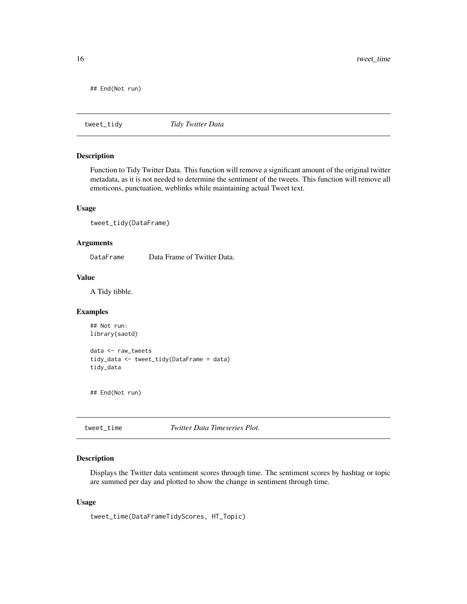<span id="page-15-0"></span>16 tweet\_time

## End(Not run)

tweet\_tidy *Tidy Twitter Data*

# Description

Function to Tidy Twitter Data. This function will remove a significant amount of the original twitter metadata, as it is not needed to determine the sentiment of the tweets. This function will remove all emoticons, punctuation, weblinks while maintaining actual Tweet text.

#### Usage

```
tweet_tidy(DataFrame)
```
# Arguments

DataFrame Data Frame of Twitter Data.

#### Value

A Tidy tibble.

#### Examples

```
## Not run:
library(saotd)
```

```
data <- raw_tweets
tidy_data <- tweet_tidy(DataFrame = data)
tidy_data
```
## End(Not run)

tweet\_time *Twitter Data Timeseries Plot.*

#### Description

Displays the Twitter data sentiment scores through time. The sentiment scores by hashtag or topic are summed per day and plotted to show the change in sentiment through time.

```
tweet_time(DataFrameTidyScores, HT_Topic)
```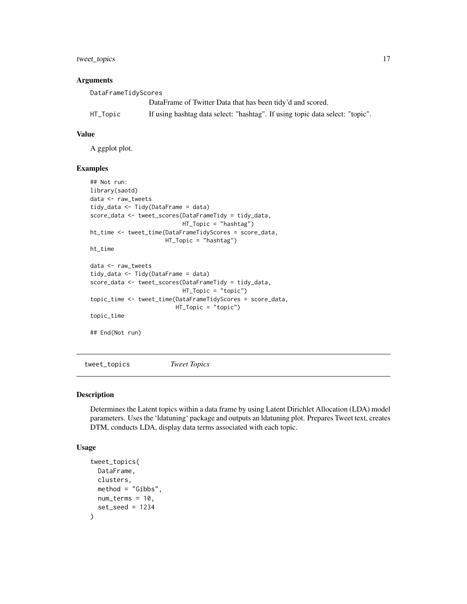<span id="page-16-0"></span>tweet\_topics 17

#### **Arguments**

| DataFrameTidyScores |                                                                               |  |
|---------------------|-------------------------------------------------------------------------------|--|
|                     | DataFrame of Twitter Data that has been tidy'd and scored.                    |  |
| HT_Topic            | If using hashtag data select: "hashtag". If using topic data select: "topic". |  |

# Value

A ggplot plot.

#### Examples

```
## Not run:
library(saotd)
data <- raw_tweets
tidy_data <- Tidy(DataFrame = data)
score_data <- tweet_scores(DataFrameTidy = tidy_data,
                           HT_Topic = "hashtag")
ht_time <- tweet_time(DataFrameTidyScores = score_data,
                     HT_Topic = "hashtag")
ht_time
data <- raw_tweets
tidy_data <- Tidy(DataFrame = data)
score_data <- tweet_scores(DataFrameTidy = tidy_data,
                           HT_Topic = "topic")
topic_time <- tweet_time(DataFrameTidyScores = score_data,
                         HT_Topic = "topic")
topic_time
## End(Not run)
```
tweet\_topics *Tweet Topics*

# Description

Determines the Latent topics within a data frame by using Latent Dirichlet Allocation (LDA) model parameters. Uses the 'ldatuning' package and outputs an ldatuning plot. Prepares Tweet text, creates DTM, conducts LDA, display data terms associated with each topic.

```
tweet_topics(
 DataFrame,
 clusters,
 method = "Gibbs",
 num_terms = 10,
  set\_seed = 1234)
```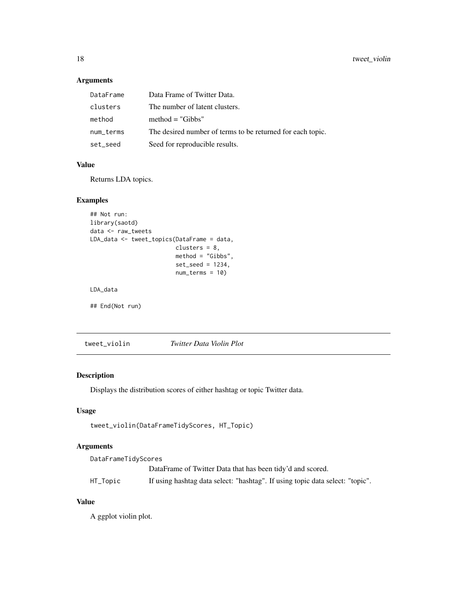# Arguments

| DataFrame | Data Frame of Twitter Data.                                |
|-----------|------------------------------------------------------------|
| clusters  | The number of latent clusters.                             |
| method    | $method = "Gibbs"$                                         |
| num_terms | The desired number of terms to be returned for each topic. |
| set_seed  | Seed for reproducible results.                             |

# Value

Returns LDA topics.

# Examples

```
## Not run:
library(saotd)
data <- raw_tweets
LDA_data <- tweet_topics(DataFrame = data,
                        clusters = 8,
                         method = "Gibbs",
                         set_seed = 1234,
                         num_terms = 10)
```
LDA\_data

## End(Not run)

tweet\_violin *Twitter Data Violin Plot*

# Description

Displays the distribution scores of either hashtag or topic Twitter data.

# Usage

```
tweet_violin(DataFrameTidyScores, HT_Topic)
```
# Arguments

| DataFrameTidyScores |                                                                               |  |
|---------------------|-------------------------------------------------------------------------------|--|
|                     | DataFrame of Twitter Data that has been tidy'd and scored.                    |  |
| HT_Topic            | If using hashtag data select: "hashtag". If using topic data select: "topic". |  |

# Value

A ggplot violin plot.

<span id="page-17-0"></span>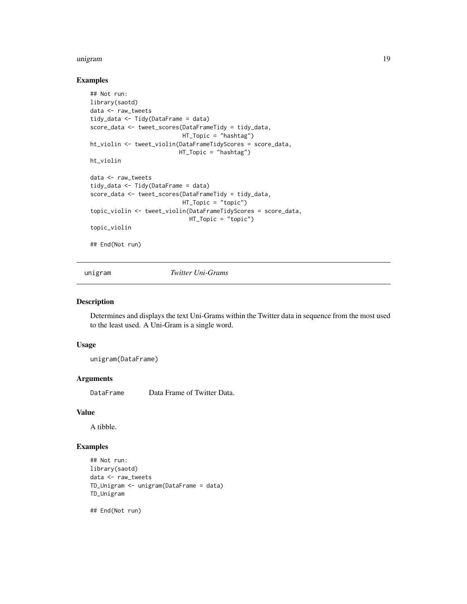#### <span id="page-18-0"></span>unigram 19

#### Examples

```
## Not run:
library(saotd)
data <- raw_tweets
tidy_data <- Tidy(DataFrame = data)
score_data <- tweet_scores(DataFrameTidy = tidy_data,
                           HT_Topic = "hashtag")
ht_violin <- tweet_violin(DataFrameTidyScores = score_data,
                          HT_Topic = "hashtag")
ht_violin
data <- raw_tweets
tidy_data <- Tidy(DataFrame = data)
score_data <- tweet_scores(DataFrameTidy = tidy_data,
                           HT_Topic = "topic")
topic_violin <- tweet_violin(DataFrameTidyScores = score_data,
                             HT_Topic = "topic")
topic_violin
## End(Not run)
```
unigram *Twitter Uni-Grams*

#### Description

Determines and displays the text Uni-Grams within the Twitter data in sequence from the most used to the least used. A Uni-Gram is a single word.

# Usage

unigram(DataFrame)

#### **Arguments**

DataFrame Data Frame of Twitter Data.

#### Value

A tibble.

#### Examples

```
## Not run:
library(saotd)
data <- raw_tweets
TD_Unigram <- unigram(DataFrame = data)
TD_Unigram
```
## End(Not run)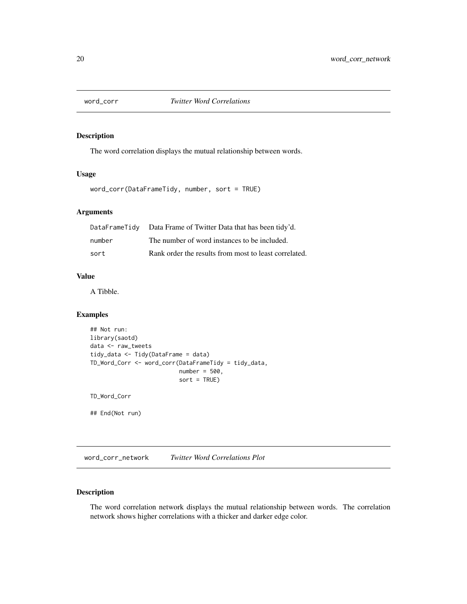<span id="page-19-0"></span>

#### Description

The word correlation displays the mutual relationship between words.

#### Usage

word\_corr(DataFrameTidy, number, sort = TRUE)

# Arguments

|        | DataFrameTidy Data Frame of Twitter Data that has been tidy'd. |
|--------|----------------------------------------------------------------|
| number | The number of word instances to be included.                   |
| sort   | Rank order the results from most to least correlated.          |

# Value

A Tibble.

# Examples

```
## Not run:
library(saotd)
data <- raw_tweets
tidy_data <- Tidy(DataFrame = data)
TD_Word_Corr <- word_corr(DataFrameTidy = tidy_data,
                          number = 500,sort = TRUE)
TD_Word_Corr
## End(Not run)
```
word\_corr\_network *Twitter Word Correlations Plot*

#### Description

The word correlation network displays the mutual relationship between words. The correlation network shows higher correlations with a thicker and darker edge color.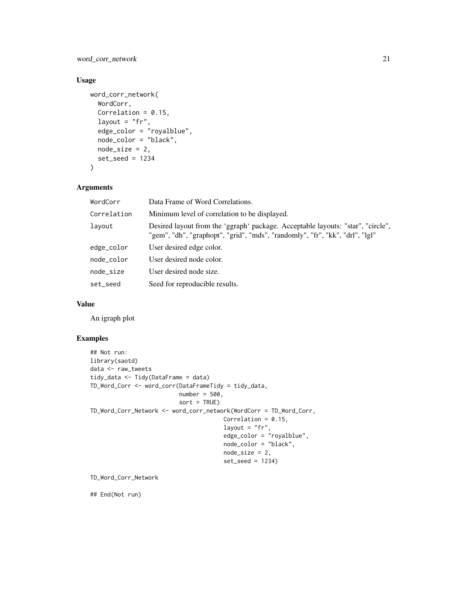word\_corr\_network 21

# Usage

```
word_corr_network(
 WordCorr,
  Correlation = 0.15,
  layout = "fr",edge_color = "royalblue",
 node_color = "black",
 node_size = 2,
 set_seed = 1234
\mathcal{L}
```
# Arguments

| WordCorr    | Data Frame of Word Correlations.                                                                                                                                |
|-------------|-----------------------------------------------------------------------------------------------------------------------------------------------------------------|
| Correlation | Minimum level of correlation to be displayed.                                                                                                                   |
| layout      | Desired layout from the 'ggraph' package. Acceptable layouts: "star", "circle",<br>"gem", "dh", "graphopt", "grid", "mds", "randomly", "fr", "kk", "drl", "lgl" |
| edge_color  | User desired edge color.                                                                                                                                        |
| node_color  | User desired node color.                                                                                                                                        |
| node_size   | User desired node size.                                                                                                                                         |
| set_seed    | Seed for reproducible results.                                                                                                                                  |

#### Value

An igraph plot

#### Examples

```
## Not run:
library(saotd)
data <- raw_tweets
tidy_data <- Tidy(DataFrame = data)
TD_Word_Corr <- word_corr(DataFrameTidy = tidy_data,
                         number = 500,
                          sort = TRUE)
TD_Word_Corr_Network <- word_corr_network(WordCorr = TD_Word_Corr,
                                       Correlation = 0.15,
                                       layout = "fr",edge_color = "royalblue",
                                       node_color = "black",
                                       node_size = 2,
                                       set_seed = 1234)
```
TD\_Word\_Corr\_Network

## End(Not run)